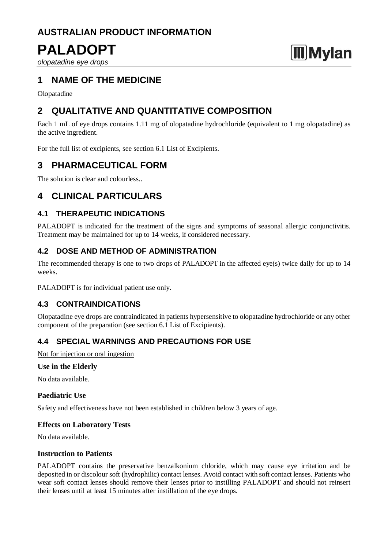# **AUSTRALIAN PRODUCT INFORMATION**

# **PALADOPT**

*olopatadine eye drops*

## **1 NAME OF THE MEDICINE**

Olopatadine

## **2 QUALITATIVE AND QUANTITATIVE COMPOSITION**

Each 1 mL of eye drops contains 1.11 mg of olopatadine hydrochloride (equivalent to 1 mg olopatadine) as the active ingredient.

**Mylan** 

For the full list of excipients, see section 6.1 List of Excipients.

## **3 PHARMACEUTICAL FORM**

The solution is clear and colourless..

## **4 CLINICAL PARTICULARS**

## **4.1 THERAPEUTIC INDICATIONS**

PALADOPT is indicated for the treatment of the signs and symptoms of seasonal allergic conjunctivitis. Treatment may be maintained for up to 14 weeks, if considered necessary.

## **4.2 DOSE AND METHOD OF ADMINISTRATION**

The recommended therapy is one to two drops of PALADOPT in the affected eye(s) twice daily for up to 14 weeks.

PALADOPT is for individual patient use only.

## **4.3 CONTRAINDICATIONS**

Olopatadine eye drops are contraindicated in patients hypersensitive to olopatadine hydrochloride or any other component of the preparation (see section 6.1 List of Excipients).

## **4.4 SPECIAL WARNINGS AND PRECAUTIONS FOR USE**

Not for injection or oral ingestion

### **Use in the Elderly**

No data available.

## **Paediatric Use**

Safety and effectiveness have not been established in children below 3 years of age.

## **Effects on Laboratory Tests**

No data available.

### **Instruction to Patients**

PALADOPT contains the preservative benzalkonium chloride, which may cause eye irritation and be deposited in or discolour soft (hydrophilic) contact lenses. Avoid contact with soft contact lenses. Patients who wear soft contact lenses should remove their lenses prior to instilling PALADOPT and should not reinsert their lenses until at least 15 minutes after instillation of the eye drops.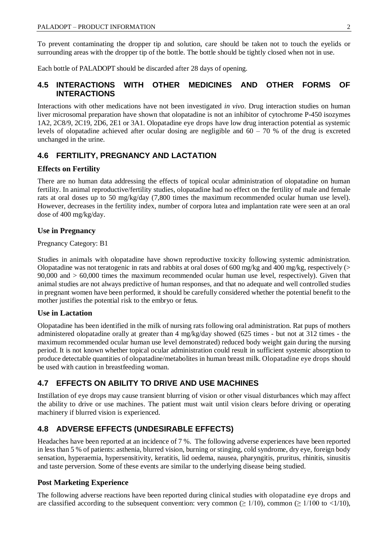To prevent contaminating the dropper tip and solution, care should be taken not to touch the eyelids or surrounding areas with the dropper tip of the bottle. The bottle should be tightly closed when not in use.

Each bottle of PALADOPT should be discarded after 28 days of opening.

### **4.5 INTERACTIONS WITH OTHER MEDICINES AND OTHER FORMS OF INTERACTIONS**

Interactions with other medications have not been investigated *in vivo*. Drug interaction studies on human liver microsomal preparation have shown that olopatadine is not an inhibitor of cytochrome P-450 isozymes 1A2, 2C8/9, 2C19, 2D6, 2E1 or 3A1. Olopatadine eye drops have low drug interaction potential as systemic levels of olopatadine achieved after ocular dosing are negligible and  $60 - 70$  % of the drug is excreted unchanged in the urine.

## **4.6 FERTILITY, PREGNANCY AND LACTATION**

### **Effects on Fertility**

There are no human data addressing the effects of topical ocular administration of olopatadine on human fertility. In animal reproductive/fertility studies, olopatadine had no effect on the fertility of male and female rats at oral doses up to 50 mg/kg/day (7,800 times the maximum recommended ocular human use level). However, decreases in the fertility index, number of corpora lutea and implantation rate were seen at an oral dose of 400 mg/kg/day.

#### **Use in Pregnancy**

Pregnancy Category: B1

Studies in animals with olopatadine have shown reproductive toxicity following systemic administration. Olopatadine was not teratogenic in rats and rabbits at oral doses of 600 mg/kg and 400 mg/kg, respectively (> 90,000 and > 60,000 times the maximum recommended ocular human use level, respectively). Given that animal studies are not always predictive of human responses, and that no adequate and well controlled studies in pregnant women have been performed, it should be carefully considered whether the potential benefit to the mother justifies the potential risk to the embryo or fetus.

### **Use in Lactation**

Olopatadine has been identified in the milk of nursing rats following oral administration. Rat pups of mothers administered olopatadine orally at greater than 4 mg/kg/day showed (625 times - but not at 312 times - the maximum recommended ocular human use level demonstrated) reduced body weight gain during the nursing period. It is not known whether topical ocular administration could result in sufficient systemic absorption to produce detectable quantities of olopatadine/metabolites in human breast milk. Olopatadine eye drops should be used with caution in breastfeeding woman.

## **4.7 EFFECTS ON ABILITY TO DRIVE AND USE MACHINES**

Instillation of eye drops may cause transient blurring of vision or other visual disturbances which may affect the ability to drive or use machines. The patient must wait until vision clears before driving or operating machinery if blurred vision is experienced.

## **4.8 ADVERSE EFFECTS (UNDESIRABLE EFFECTS)**

Headaches have been reported at an incidence of 7 %. The following adverse experiences have been reported in less than 5 % of patients: asthenia, blurred vision, burning or stinging, cold syndrome, dry eye, foreign body sensation, hyperaemia, hypersensitivity, keratitis, lid oedema, nausea, pharyngitis, pruritus, rhinitis, sinusitis and taste perversion. Some of these events are similar to the underlying disease being studied.

### **Post Marketing Experience**

The following adverse reactions have been reported during clinical studies with olopatadine eye drops and are classified according to the subsequent convention: very common ( $\geq 1/10$ ), common ( $\geq 1/100$  to  $\lt 1/10$ ),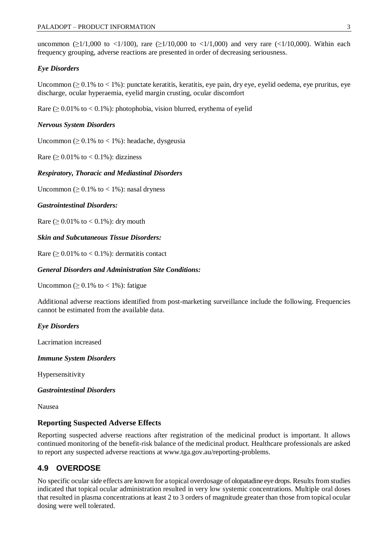uncommon ( $\geq 1/1,000$  to <1/100), rare ( $\geq 1/10,000$  to <1/1,000) and very rare (<1/10,000). Within each frequency grouping, adverse reactions are presented in order of decreasing seriousness.

#### *Eye Disorders*

Uncommon  $(≥ 0.1%$  to < 1%): punctate keratitis, keratitis, eye pain, dry eye, eyelid oedema, eye pruritus, eye discharge, ocular hyperaemia, eyelid margin crusting, ocular discomfort

Rare  $(≥ 0.01%$  to  $< 0.1%)$ : photophobia, vision blurred, erythema of eyelid

#### *Nervous System Disorders*

Uncommon ( $\geq 0.1\%$  to < 1%): headache, dysgeusia

Rare  $(≥ 0.01%$  to  $< 0.1%$ ): dizziness

#### *Respiratory, Thoracic and Mediastinal Disorders*

Uncommon ( $\geq 0.1\%$  to < 1%): nasal dryness

#### *Gastrointestinal Disorders:*

Rare  $( \geq 0.01\% \text{ to } < 0.1\%)$ : dry mouth

#### *Skin and Subcutaneous Tissue Disorders:*

Rare ( $\geq 0.01\%$  to < 0.1%): dermatitis contact

#### *General Disorders and Administration Site Conditions:*

Uncommon ( $\geq 0.1\%$  to  $\lt 1\%$ ): fatigue

Additional adverse reactions identified from post-marketing surveillance include the following. Frequencies cannot be estimated from the available data.

#### *Eye Disorders*

Lacrimation increased

*Immune System Disorders* 

Hypersensitivity

#### *Gastrointestinal Disorders*

Nausea

#### **Reporting Suspected Adverse Effects**

Reporting suspected adverse reactions after registration of the medicinal product is important. It allows continued monitoring of the benefit-risk balance of the medicinal product. Healthcare professionals are asked to report any suspected adverse reactions at [www.tga.gov.au/reporting-problems.](http://www.tga.gov.au/reporting-problems)

## **4.9 OVERDOSE**

No specific ocular side effects are known for a topical overdosage of olopatadine eye drops. Results from studies indicated that topical ocular administration resulted in very low systemic concentrations. Multiple oral doses that resulted in plasma concentrations at least 2 to 3 orders of magnitude greater than those from topical ocular dosing were well tolerated.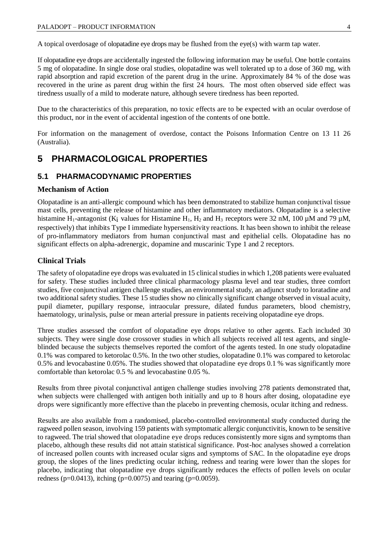A topical overdosage of olopatadine eye drops may be flushed from the eye(s) with warm tap water.

If olopatadine eye drops are accidentally ingested the following information may be useful. One bottle contains 5 mg of olopatadine. In single dose oral studies, olopatadine was well tolerated up to a dose of 360 mg, with rapid absorption and rapid excretion of the parent drug in the urine. Approximately 84 % of the dose was recovered in the urine as parent drug within the first 24 hours. The most often observed side effect was tiredness usually of a mild to moderate nature, although severe tiredness has been reported.

Due to the characteristics of this preparation, no toxic effects are to be expected with an ocular overdose of this product, nor in the event of accidental ingestion of the contents of one bottle.

For information on the management of overdose, contact the Poisons Information Centre on 13 11 26 (Australia).

## **5 PHARMACOLOGICAL PROPERTIES**

### **5.1 PHARMACODYNAMIC PROPERTIES**

#### **Mechanism of Action**

Olopatadine is an anti-allergic compound which has been demonstrated to stabilize human conjunctival tissue mast cells, preventing the release of histamine and other inflammatory mediators. Olopatadine is a selective histamine H<sub>1</sub>-antagonist (K<sub>i</sub> values for Histamine H<sub>1</sub>, H<sub>2</sub> and H<sub>3</sub> receptors were 32 nM, 100  $\mu$ M and 79  $\mu$ M, respectively) that inhibits Type I immediate hypersensitivity reactions. It has been shown to inhibit the release of pro-inflammatory mediators from human conjunctival mast and epithelial cells. Olopatadine has no significant effects on alpha-adrenergic, dopamine and muscarinic Type 1 and 2 receptors.

### **Clinical Trials**

The safety of olopatadine eye drops was evaluated in 15 clinical studies in which 1,208 patients were evaluated for safety. These studies included three clinical pharmacology plasma level and tear studies, three comfort studies, five conjunctival antigen challenge studies, an environmental study, an adjunct study to loratadine and two additional safety studies. These 15 studies show no clinically significant change observed in visual acuity, pupil diameter, pupillary response, intraocular pressure, dilated fundus parameters, blood chemistry, haematology, urinalysis, pulse or mean arterial pressure in patients receiving olopatadine eye drops.

Three studies assessed the comfort of olopatadine eye drops relative to other agents. Each included 30 subjects. They were single dose crossover studies in which all subjects received all test agents, and singleblinded because the subjects themselves reported the comfort of the agents tested. In one study olopatadine 0.1% was compared to ketorolac 0.5%. In the two other studies, olopatadine 0.1% was compared to ketorolac 0.5% and levocabastine 0.05%. The studies showed that olopatadine eye drops 0.1 % was significantly more comfortable than ketorolac 0.5 % and levocabastine 0.05 %.

Results from three pivotal conjunctival antigen challenge studies involving 278 patients demonstrated that, when subjects were challenged with antigen both initially and up to 8 hours after dosing, olopatadine eye drops were significantly more effective than the placebo in preventing chemosis, ocular itching and redness.

Results are also available from a randomised, placebo-controlled environmental study conducted during the ragweed pollen season, involving 159 patients with symptomatic allergic conjunctivitis, known to be sensitive to ragweed. The trial showed that olopatadine eye drops reduces consistently more signs and symptoms than placebo, although these results did not attain statistical significance. Post-hoc analyses showed a correlation of increased pollen counts with increased ocular signs and symptoms of SAC. In the olopatadine eye drops group, the slopes of the lines predicting ocular itching, redness and tearing were lower than the slopes for placebo, indicating that olopatadine eye drops significantly reduces the effects of pollen levels on ocular redness ( $p=0.0413$ ), itching ( $p=0.0075$ ) and tearing ( $p=0.0059$ ).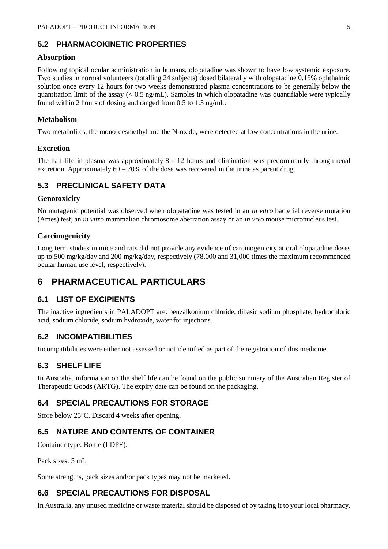## **5.2 PHARMACOKINETIC PROPERTIES**

#### **Absorption**

Following topical ocular administration in humans, olopatadine was shown to have low systemic exposure. Two studies in normal volunteers (totalling 24 subjects) dosed bilaterally with olopatadine 0.15% ophthalmic solution once every 12 hours for two weeks demonstrated plasma concentrations to be generally below the quantitation limit of the assay  $( $0.5 \text{ ng/mL}$ ). Samples in which olopatadine was quantifiable were typically$ found within 2 hours of dosing and ranged from 0.5 to 1.3 ng/mL.

#### **Metabolism**

Two metabolites, the mono-desmethyl and the N-oxide, were detected at low concentrations in the urine.

#### **Excretion**

The half-life in plasma was approximately 8 - 12 hours and elimination was predominantly through renal excretion. Approximately  $60 - 70\%$  of the dose was recovered in the urine as parent drug.

## **5.3 PRECLINICAL SAFETY DATA**

#### **Genotoxicity**

No mutagenic potential was observed when olopatadine was tested in an *in vitro* bacterial reverse mutation (Ames) test, an *in vitro* mammalian chromosome aberration assay or an *in vivo* mouse micronucleus test.

#### **Carcinogenicity**

Long term studies in mice and rats did not provide any evidence of carcinogenicity at oral olopatadine doses up to 500 mg/kg/day and 200 mg/kg/day, respectively (78,000 and 31,000 times the maximum recommended ocular human use level, respectively).

## **6 PHARMACEUTICAL PARTICULARS**

### **6.1 LIST OF EXCIPIENTS**

The inactive ingredients in PALADOPT are: benzalkonium chloride, dibasic sodium phosphate, hydrochloric acid, sodium chloride, sodium hydroxide, water for injections.

## **6.2 INCOMPATIBILITIES**

Incompatibilities were either not assessed or not identified as part of the registration of this medicine.

### **6.3 SHELF LIFE**

In Australia, information on the shelf life can be found on the public summary of the Australian Register of Therapeutic Goods (ARTG). The expiry date can be found on the packaging.

## **6.4 SPECIAL PRECAUTIONS FOR STORAGE**

Store below 25°C. Discard 4 weeks after opening.

## **6.5 NATURE AND CONTENTS OF CONTAINER**

Container type: Bottle (LDPE).

Pack sizes: 5 mL

Some strengths, pack sizes and/or pack types may not be marketed.

## **6.6 SPECIAL PRECAUTIONS FOR DISPOSAL**

In Australia, any unused medicine or waste material should be disposed of by taking it to your local pharmacy.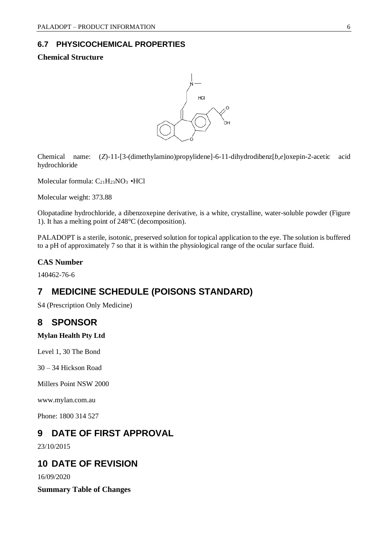## **6.7 PHYSICOCHEMICAL PROPERTIES**

### **Chemical Structure**



Chemical name: (*Z*)-11-[3-(dimethylamino)propylidene]-6-11-dihydrodibenz[*b,e*]oxepin-2-acetic acid hydrochloride

Molecular formula:  $C_{21}H_{23}NO_3 \cdot HCl$ 

Molecular weight: 373.88

Olopatadine hydrochloride, a dibenzoxepine derivative, is a white, crystalline, water-soluble powder (Figure 1). It has a melting point of 248°C (decomposition).

PALADOPT is a sterile, isotonic, preserved solution for topical application to the eye. The solution is buffered to a pH of approximately 7 so that it is within the physiological range of the ocular surface fluid.

### **CAS Number**

140462-76-6

## **7 MEDICINE SCHEDULE (POISONS STANDARD)**

S4 (Prescription Only Medicine)

## **8 SPONSOR**

**Mylan Health Pty Ltd**

Level 1, 30 The Bond

30 – 34 Hickson Road

Millers Point NSW 2000

www.mylan.com.au

Phone: 1800 314 527

## **9 DATE OF FIRST APPROVAL**

23/10/2015

## **10 DATE OF REVISION**

16/09/2020

**Summary Table of Changes**